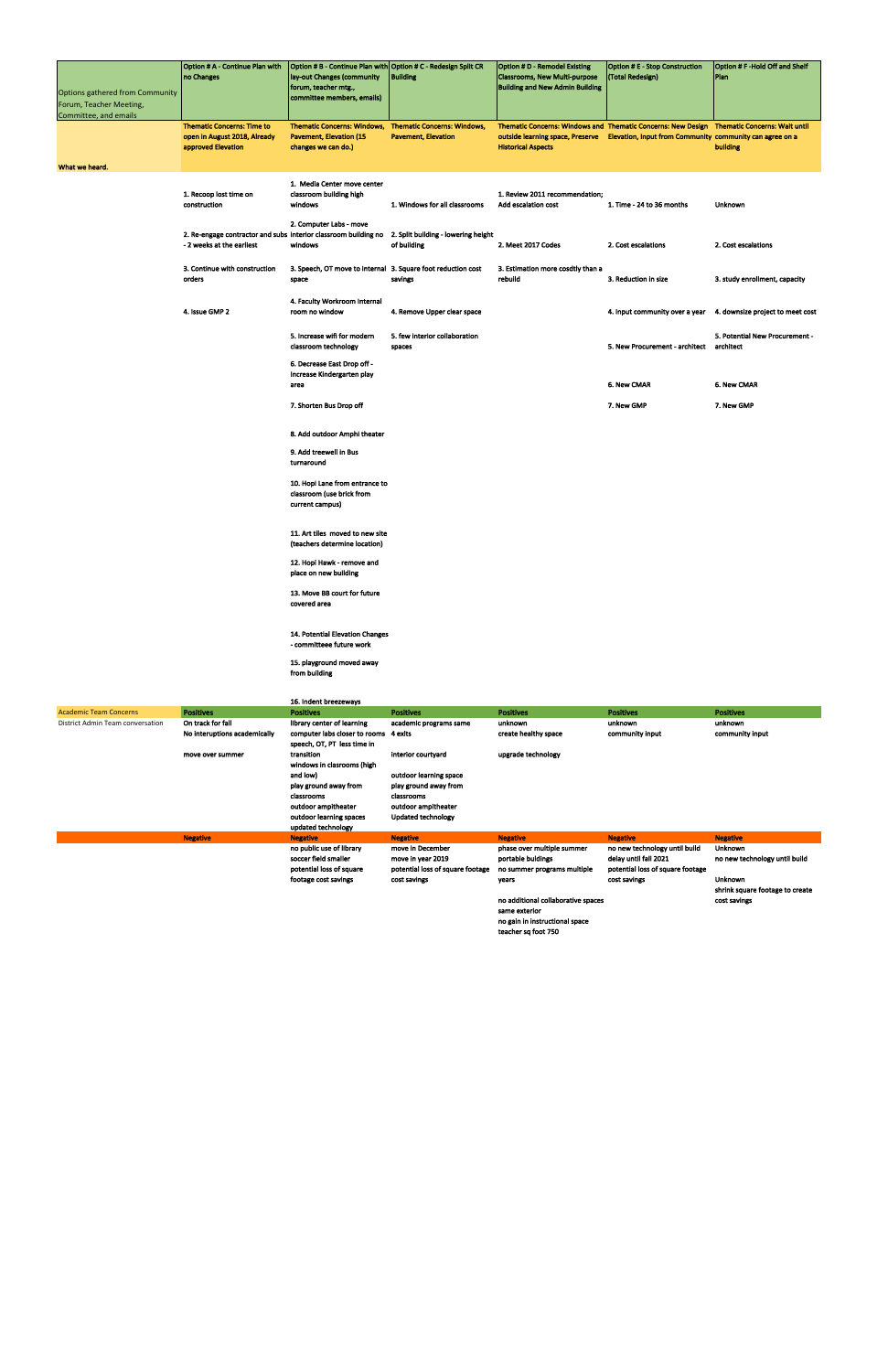| Options gathered from Community<br>Forum, Teacher Meeting,<br>Committee, and emails | Option # A - Continue Plan with<br>no Changes                                                | Option # B - Continue Plan with Option # C - Redesign Split CR<br>lay-out Changes (community<br>forum, teacher mtg.,<br>committee members, emails) | <b>Building</b>                                                  | <b>Option # D - Remodel Existing</b><br><b>Classrooms, New Multi-purpose</b><br><b>Building and New Admin Building</b>                                                                                               | <b>Option # E - Stop Construction</b><br>(Total Redesign) | Option # F-Hold Off and Shelf<br>Plan       |
|-------------------------------------------------------------------------------------|----------------------------------------------------------------------------------------------|----------------------------------------------------------------------------------------------------------------------------------------------------|------------------------------------------------------------------|----------------------------------------------------------------------------------------------------------------------------------------------------------------------------------------------------------------------|-----------------------------------------------------------|---------------------------------------------|
|                                                                                     | <b>Thematic Concerns: Time to</b><br>open in August 2018, Already<br>approved Elevation      | <b>Thematic Concerns: Windows,</b><br><b>Pavement, Elevation (15</b><br>changes we can do.)                                                        | <b>Thematic Concerns: Windows,</b><br><b>Pavement, Elevation</b> | Thematic Concerns: Windows and Thematic Concerns: New Design Thematic Concerns: Wait until<br>outside learning space, Preserve Elevation, Input from Community community can agree on a<br><b>Historical Aspects</b> |                                                           | building                                    |
| What we heard.                                                                      |                                                                                              |                                                                                                                                                    |                                                                  |                                                                                                                                                                                                                      |                                                           |                                             |
|                                                                                     | 1. Recoop lost time on<br>construction                                                       | 1. Media Center move center<br>classroom building high<br>windows                                                                                  | 1. Windows for all classrooms                                    | 1. Review 2011 recommendation;<br>Add escalation cost                                                                                                                                                                | 1. Time - 24 to 36 months                                 | Unknown                                     |
|                                                                                     | 2. Re-engage contractor and subs interior classroom building no<br>- 2 weeks at the earliest | 2. Computer Labs - move<br>windows                                                                                                                 | 2. Split building - lowering height<br>of building               | 2. Meet 2017 Codes                                                                                                                                                                                                   | 2. Cost escalations                                       | 2. Cost escalations                         |
|                                                                                     | 3. Continue with construction<br>orders                                                      | 3. Speech, OT move to internal 3. Square foot reduction cost<br>space                                                                              | savings                                                          | 3. Estimation more cosdtly than a<br>rebuild                                                                                                                                                                         | 3. Reduction in size                                      | 3. study enrollment, capacity               |
|                                                                                     | 4. Issue GMP 2                                                                               | 4. Faculty Workroom Internal<br>room no window                                                                                                     | 4. Remove Upper clear space                                      |                                                                                                                                                                                                                      | 4. Input community over a year                            | 4. downsize project to meet cost            |
|                                                                                     |                                                                                              | 5. Increase wifi for modern<br>classroom technology                                                                                                | 5. few interior collaboration<br>spaces                          |                                                                                                                                                                                                                      | 5. New Procurement - architect                            | 5. Potential New Procurement -<br>architect |
|                                                                                     |                                                                                              | 6. Decrease East Drop off -<br>Increase Kindergarten play<br>area                                                                                  |                                                                  |                                                                                                                                                                                                                      | 6. New CMAR                                               | 6. New CMAR                                 |
|                                                                                     |                                                                                              | 7. Shorten Bus Drop off                                                                                                                            |                                                                  |                                                                                                                                                                                                                      | 7. New GMP                                                | 7. New GMP                                  |
|                                                                                     |                                                                                              | 8. Add outdoor Amphi theater                                                                                                                       |                                                                  |                                                                                                                                                                                                                      |                                                           |                                             |
|                                                                                     |                                                                                              | 9. Add treewell in Bus<br>turnaround                                                                                                               |                                                                  |                                                                                                                                                                                                                      |                                                           |                                             |
|                                                                                     |                                                                                              | 10. Hopi Lane from entrance to<br>classroom (use brick from<br>current campus)                                                                     |                                                                  |                                                                                                                                                                                                                      |                                                           |                                             |
|                                                                                     |                                                                                              | 11. Art tiles moved to new site<br>(teachers determine location)                                                                                   |                                                                  |                                                                                                                                                                                                                      |                                                           |                                             |
|                                                                                     |                                                                                              | 12. Hopi Hawk - remove and<br>place on new building                                                                                                |                                                                  |                                                                                                                                                                                                                      |                                                           |                                             |
|                                                                                     |                                                                                              | 13. Move BB court for future<br>covered area                                                                                                       |                                                                  |                                                                                                                                                                                                                      |                                                           |                                             |
|                                                                                     |                                                                                              | 14. Potential Elevation Changes<br>- committeee future work                                                                                        |                                                                  |                                                                                                                                                                                                                      |                                                           |                                             |
|                                                                                     |                                                                                              | 15. playground moved away<br>from building                                                                                                         |                                                                  |                                                                                                                                                                                                                      |                                                           |                                             |
|                                                                                     |                                                                                              | 16. Indent breezeways                                                                                                                              |                                                                  |                                                                                                                                                                                                                      |                                                           |                                             |
| <b>Academic Team Concerns</b>                                                       | <b>Positives</b>                                                                             | <b>Positives</b>                                                                                                                                   | <b>Positives</b>                                                 | <b>Positives</b>                                                                                                                                                                                                     | <b>Positives</b>                                          | <b>Positives</b>                            |
| District Admin Team conversation                                                    | On track for fall                                                                            | library center of learning                                                                                                                         | academic programs same                                           | unknown                                                                                                                                                                                                              | unknown                                                   | unknown                                     |

| Academic Team Concerns           | Positives                    | <b>Positives</b>              | <b>Positives</b>                 | <b>Positives</b>                   | <b>Positives</b>                 | <b>Positives</b>                |
|----------------------------------|------------------------------|-------------------------------|----------------------------------|------------------------------------|----------------------------------|---------------------------------|
| District Admin Team conversation | On track for fall            | library center of learning    | academic programs same           | unknown                            | unknown                          | unknown                         |
|                                  | No interuptions academically | computer labs closer to rooms | 4 exits                          | create healthy space               | community input                  | community input                 |
|                                  |                              | speech, OT, PT less time in   |                                  |                                    |                                  |                                 |
|                                  | move over summer             | transition                    | interior courtyard               | upgrade technology                 |                                  |                                 |
|                                  |                              | windows in clasrooms (high    |                                  |                                    |                                  |                                 |
|                                  |                              | and low)                      | outdoor learning space           |                                    |                                  |                                 |
|                                  |                              | play ground away from         | play ground away from            |                                    |                                  |                                 |
|                                  |                              | classrooms                    | classrooms                       |                                    |                                  |                                 |
|                                  |                              | outdoor ampitheater           | outdoor ampitheater              |                                    |                                  |                                 |
|                                  |                              | outdoor learning spaces       | Updated technology               |                                    |                                  |                                 |
|                                  |                              | updated technology            |                                  |                                    |                                  |                                 |
|                                  | <b>Negative</b>              | <b>Negative</b>               | <b>Negative</b>                  | <b>Negative</b>                    | <b>Negative</b>                  | <b>Negative</b>                 |
|                                  |                              | no public use of library      | move in December                 | phase over multiple summer         | no new technology until build    | <b>Unknown</b>                  |
|                                  |                              | soccer field smaller          | move in year 2019                | portable buldings                  | delay until fall 2021            | no new technology until build   |
|                                  |                              | potential loss of square      | potential loss of square footage | no summer programs multiple        | potential loss of square footage |                                 |
|                                  |                              | footage cost savings          | cost savings                     | vears                              | cost savings                     | <b>Unknown</b>                  |
|                                  |                              |                               |                                  |                                    |                                  | shrink square footage to create |
|                                  |                              |                               |                                  | no additional collaborative spaces |                                  | cost savings                    |
|                                  |                              |                               |                                  | same exterior                      |                                  |                                 |
|                                  |                              |                               |                                  | no gain in instructional space     |                                  |                                 |
|                                  |                              |                               |                                  | teacher sq foot 750                |                                  |                                 |